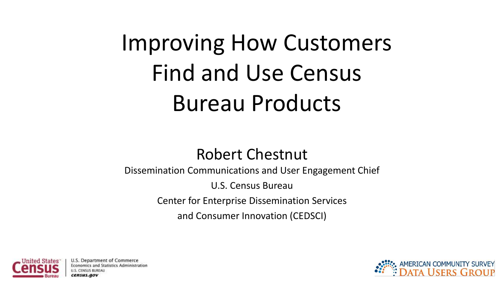Improving How Customers Find and Use Census Bureau Products

### Robert Chestnut

Dissemination Communications and User Engagement Chief U.S. Census Bureau Center for Enterprise Dissemination Services and Consumer Innovation (CEDSCI)



U.S. Department of Commerce Statistics Administration

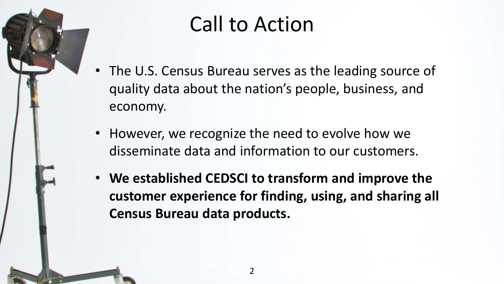

# Call to Action

- The U.S. Census Bureau serves as the leading source of quality data about the nation's people, business, and economy.
- However, we recognize the need to evolve how we disseminate data and information to our customers.
- **We established CEDSCI to transform and improve the customer experience for finding, using, and sharing all Census Bureau data products.**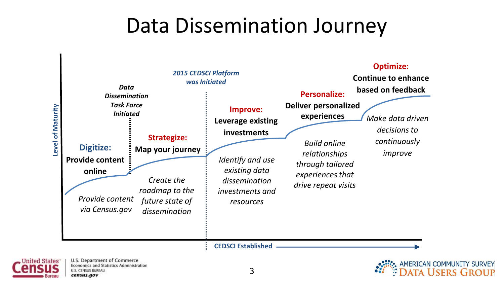### Data Dissemination Journey



nited States

AMERICAN COMMUNITY SURVEY

**TA USERS GROUP**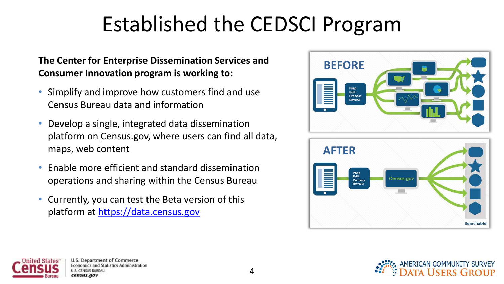# Established the CEDSCI Program

### **The Center for Enterprise Dissemination Services and Consumer Innovation program is working to:**

- Simplify and improve how customers find and use Census Bureau data and information
- Develop a single, integrated data dissemination platform on Census.gov, where users can find all data, maps, web content
- Enable more efficient and standard dissemination operations and sharing within the Census Bureau
- Currently, you can test the Beta version of this platform at [https://data.census.gov](https://data.census.gov/)







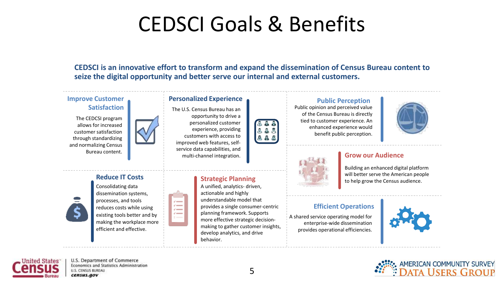# CEDSCI Goals & Benefits

**CEDSCI is an innovative effort to transform and expand the dissemination of Census Bureau content to seize the digital opportunity and better serve our internal and external customers.**

### **Improve Customer**

The CEDCSI program allows for increased customer satisfaction through standardizing and normalizing Census Bureau content.



#### **Personalized Experience**

The U.S. Census Bureau has an opportunity to drive a personalized customer experience, providing customers with access to improved web features, selfservice data capabilities, and multi-channel integration.



**Satisfaction Public opinion and perceived value** of the Census Bureau is directly tied to customer experience. An enhanced experience would benefit public perception.



#### **Grow our Audience**

Building an enhanced digital platform will better serve the American people to help grow the Census audience.

### **Efficient Operations**

A shared service operating model for enterprise-wide dissemination provides operational efficiencies.





### **Reduce IT Costs Strategic Planning**

Consolidating data dissemination systems, processes, and tools reduces costs while using existing tools better and by making the workplace more efficient and effective.





#### A unified, analytics- driven, actionable and highly understandable model that provides a single consumer-centric

planning framework. Supports more effective strategic decisionmaking to gather customer insights, develop analytics, and drive behavior.

U.S. Department of Commerce Economics and Statistics Administration **U.S. CENSUS BUREAU** census.gov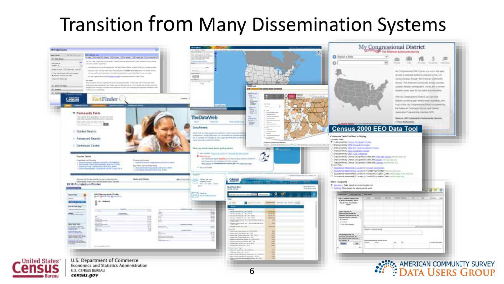### Transition from Many Dissemination Systems

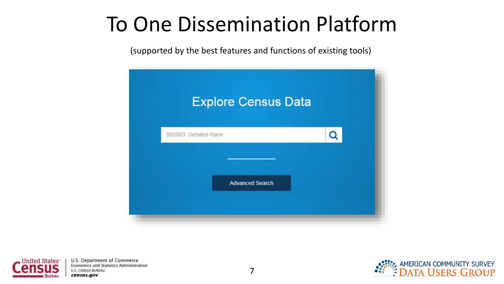# To One Dissemination Platform

(supported by the best features and functions of existing tools)





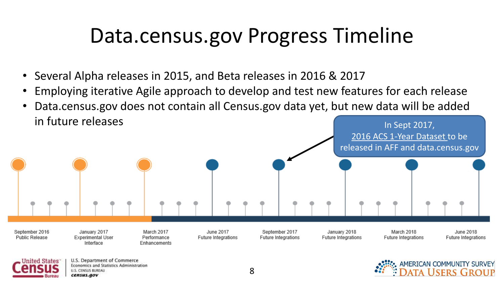# Data.census.gov Progress Timeline

- Several Alpha releases in 2015, and Beta releases in 2016 & 2017
	- Employing iterative Agile approach to develop and test new features for each release
- Data.census.gov does not contain all Census.gov data yet, but new data will be added  $\int$  In future releases  $\int$  In Sept 2017,



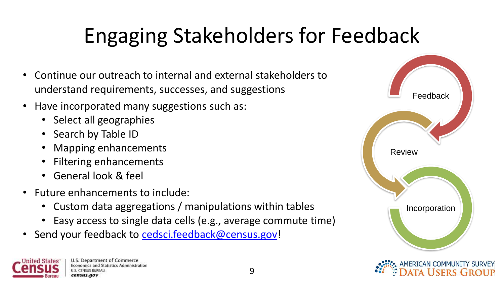# Engaging Stakeholders for Feedback

- Continue our outreach to internal and external stakeholders to understand requirements, successes, and suggestions
- Have incorporated many suggestions such as:
	- Select all geographies
	- Search by Table ID
	- Mapping enhancements
	- Filtering enhancements
	- General look & feel
- Future enhancements to include:
	- Custom data aggregations / manipulations within tables
	- Easy access to single data cells (e.g., average commute time)
- Send your feedback to [cedsci.feedback@census.gov](mailto:cedsci.feedback@census.gov)!

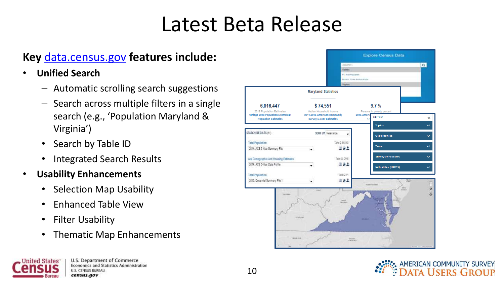# Latest Beta Release

### **Key** [data.census.gov](http://data.census.gov/) **features include:**

- **Unified Search**
	- Automatic scrolling search suggestions
	- Search across multiple filters in a single search (e.g., 'Population Maryland & Virginia')
	- Search by Table ID
	- Integrated Search Results
- **Usability Enhancements**
	- Selection Map Usability
	- Enhanced Table View
	- Filter Usability

**States** 

• Thematic Map Enhancements



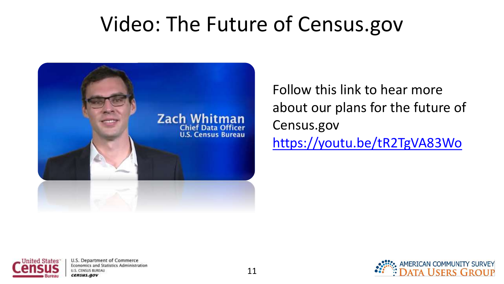## Video: The Future of Census.gov



Follow this link to hear more about our plans for the future of Census.gov <https://youtu.be/tR2TgVA83Wo>